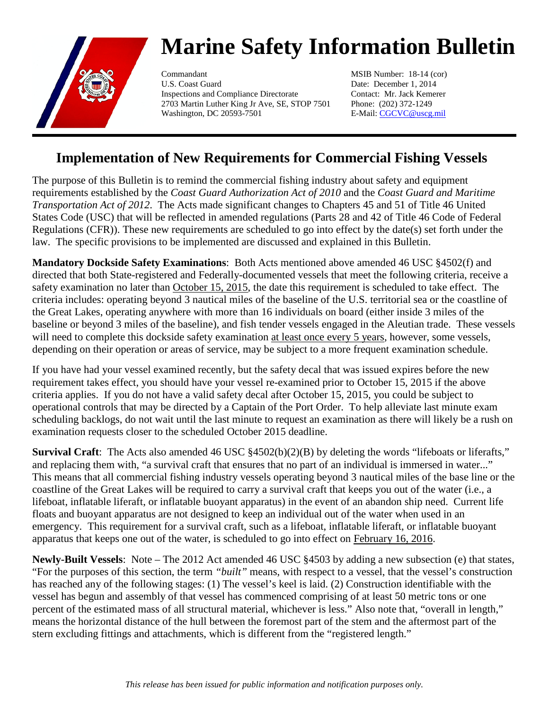

## **Marine Safety Information Bulletin**

Commandant MSIB Number: 18-14 (cor) U.S. Coast Guard Date: December 1, 2014 Inspections and Compliance Directorate Contact: Mr. Jack Kemerer 2703 Martin Luther King Jr Ave, SE, STOP 7501 Phone: (202) 372-1249 Washington, DC 20593-7501 E-Mail: [CGCVC@uscg.mil](mailto:CGCVC@uscg.mil)

## **Implementation of New Requirements for Commercial Fishing Vessels**

The purpose of this Bulletin is to remind the commercial fishing industry about safety and equipment requirements established by the *Coast Guard Authorization Act of 2010* and the *Coast Guard and Maritime Transportation Act of 2012*. The Acts made significant changes to Chapters 45 and 51 of Title 46 United States Code (USC) that will be reflected in amended regulations (Parts 28 and 42 of Title 46 Code of Federal Regulations (CFR)). These new requirements are scheduled to go into effect by the date(s) set forth under the law. The specific provisions to be implemented are discussed and explained in this Bulletin.

**Mandatory Dockside Safety Examinations**: Both Acts mentioned above amended 46 USC §4502(f) and directed that both State-registered and Federally-documented vessels that meet the following criteria, receive a safety examination no later than October 15, 2015, the date this requirement is scheduled to take effect. The criteria includes: operating beyond 3 nautical miles of the baseline of the U.S. territorial sea or the coastline of the Great Lakes, operating anywhere with more than 16 individuals on board (either inside 3 miles of the baseline or beyond 3 miles of the baseline), and fish tender vessels engaged in the Aleutian trade. These vessels will need to complete this dockside safety examination at least once every 5 years, however, some vessels, depending on their operation or areas of service, may be subject to a more frequent examination schedule.

If you have had your vessel examined recently, but the safety decal that was issued expires before the new requirement takes effect, you should have your vessel re-examined prior to October 15, 2015 if the above criteria applies. If you do not have a valid safety decal after October 15, 2015, you could be subject to operational controls that may be directed by a Captain of the Port Order. To help alleviate last minute exam scheduling backlogs, do not wait until the last minute to request an examination as there will likely be a rush on examination requests closer to the scheduled October 2015 deadline.

**Survival Craft**: The Acts also amended 46 USC §4502(b)(2)(B) by deleting the words "lifeboats or liferafts," and replacing them with, "a survival craft that ensures that no part of an individual is immersed in water..." This means that all commercial fishing industry vessels operating beyond 3 nautical miles of the base line or the coastline of the Great Lakes will be required to carry a survival craft that keeps you out of the water (i.e., a lifeboat, inflatable liferaft, or inflatable buoyant apparatus) in the event of an abandon ship need. Current life floats and buoyant apparatus are not designed to keep an individual out of the water when used in an emergency. This requirement for a survival craft, such as a lifeboat, inflatable liferaft, or inflatable buoyant apparatus that keeps one out of the water, is scheduled to go into effect on February 16, 2016.

**Newly-Built Vessels**: Note – The 2012 Act amended 46 USC §4503 by adding a new subsection (e) that states, "For the purposes of this section, the term *"built"* means, with respect to a vessel, that the vessel's construction has reached any of the following stages: (1) The vessel's keel is laid. (2) Construction identifiable with the vessel has begun and assembly of that vessel has commenced comprising of at least 50 metric tons or one percent of the estimated mass of all structural material, whichever is less." Also note that, "overall in length," means the horizontal distance of the hull between the foremost part of the stem and the aftermost part of the stern excluding fittings and attachments, which is different from the "registered length."